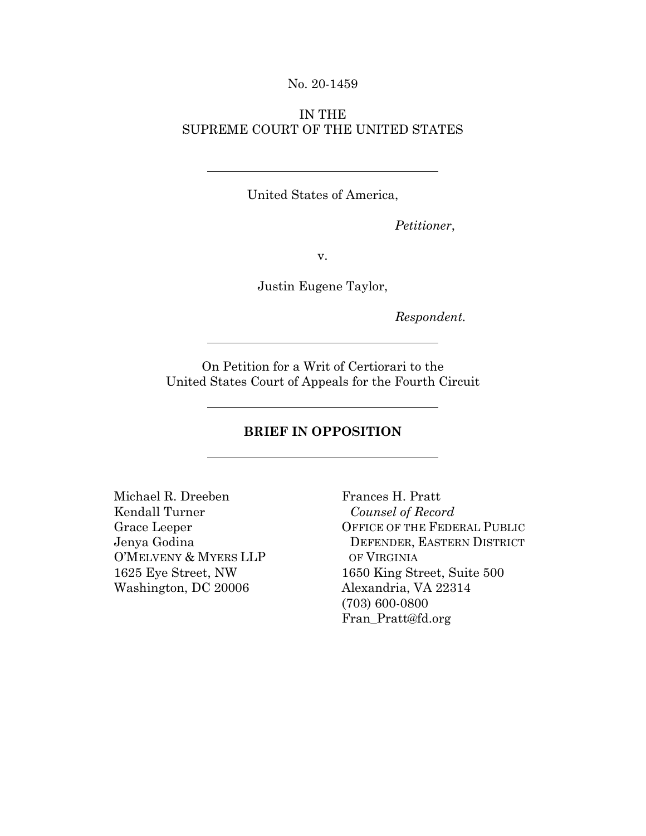#### No. 20-1459

### IN THE SUPREME COURT OF THE UNITED STATES

United States of America,

*Petitioner*,

v.

Justin Eugene Taylor,

*Respondent.* 

On Petition for a Writ of Certiorari to the United States Court of Appeals for the Fourth Circuit

### **BRIEF IN OPPOSITION**

Michael R. Dreeben Frances H. Pratt Kendall Turner *Counsel of Record* O'MELVENY & MYERS LLP OF VIRGINIA Washington, DC 20006 Alexandria, VA 22314

Grace Leeper OFFICE OF THE FEDERAL PUBLIC Jenya Godina DEFENDER, EASTERN DISTRICT 1625 Eye Street, NW 1650 King Street, Suite 500 (703) 600-0800 Fran\_Pratt@fd.org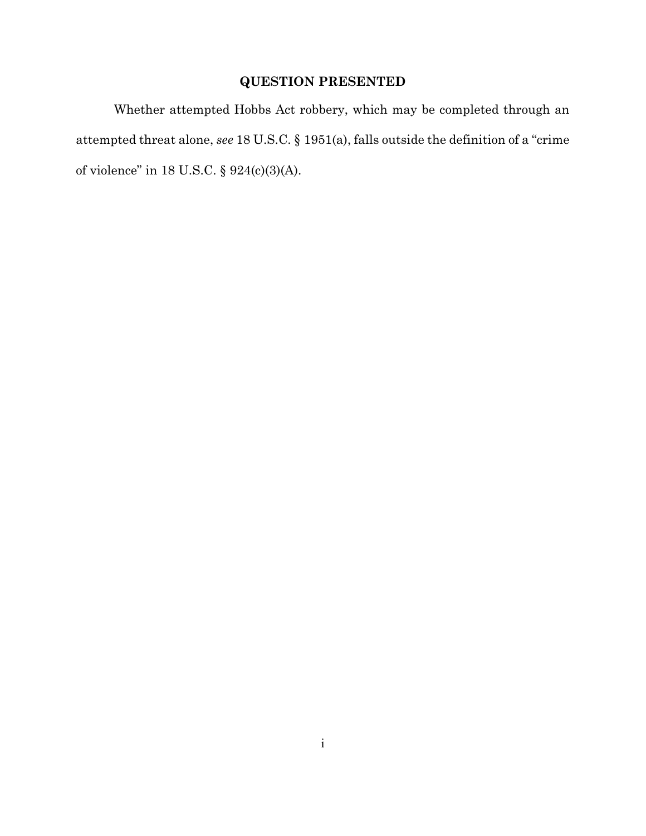### **QUESTION PRESENTED**

Whether attempted Hobbs Act robbery, which may be completed through an attempted threat alone, *see* 18 U.S.C. § 1951(a), falls outside the definition of a "crime of violence" in 18 U.S.C. § 924(c)(3)(A).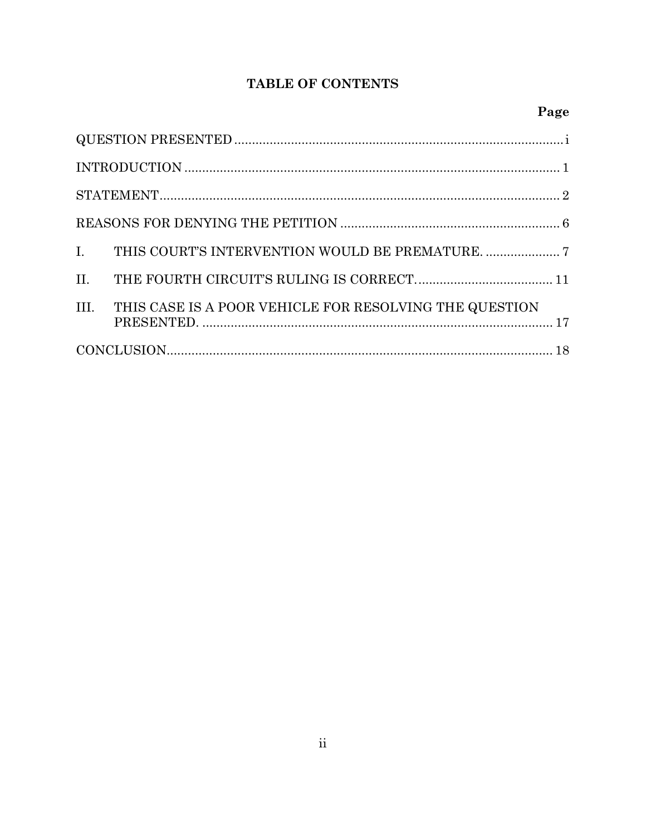## TABLE OF CONTENTS

# Page

| III.<br>THIS CASE IS A POOR VEHICLE FOR RESOLVING THE QUESTION |  |
|----------------------------------------------------------------|--|
|                                                                |  |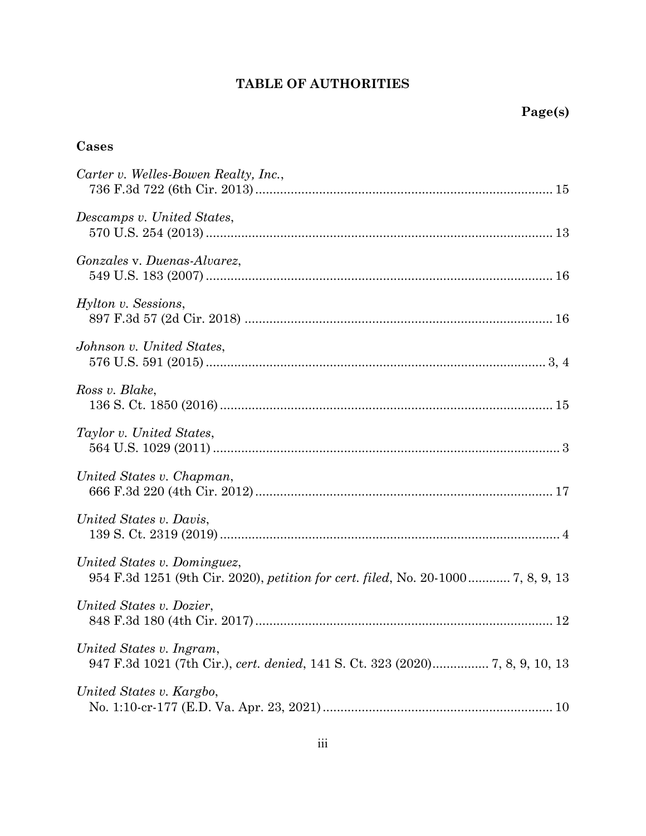## **TABLE OF AUTHORITIES**

# **Cases**

| Carter v. Welles-Bowen Realty, Inc.,                                                                            |
|-----------------------------------------------------------------------------------------------------------------|
| Descamps v. United States,                                                                                      |
| Gonzales v. Duenas-Alvarez,                                                                                     |
| Hylton v. Sessions,                                                                                             |
| Johnson v. United States,                                                                                       |
| Ross v. Blake,                                                                                                  |
| Taylor v. United States,                                                                                        |
| United States v. Chapman,                                                                                       |
| United States v. Davis,                                                                                         |
| United States v. Dominguez,<br>954 F.3d 1251 (9th Cir. 2020), petition for cert. filed, No. 20-1000 7, 8, 9, 13 |
| United States v. Dozier,                                                                                        |
| United States v. Ingram,                                                                                        |
| United States v. Kargbo,                                                                                        |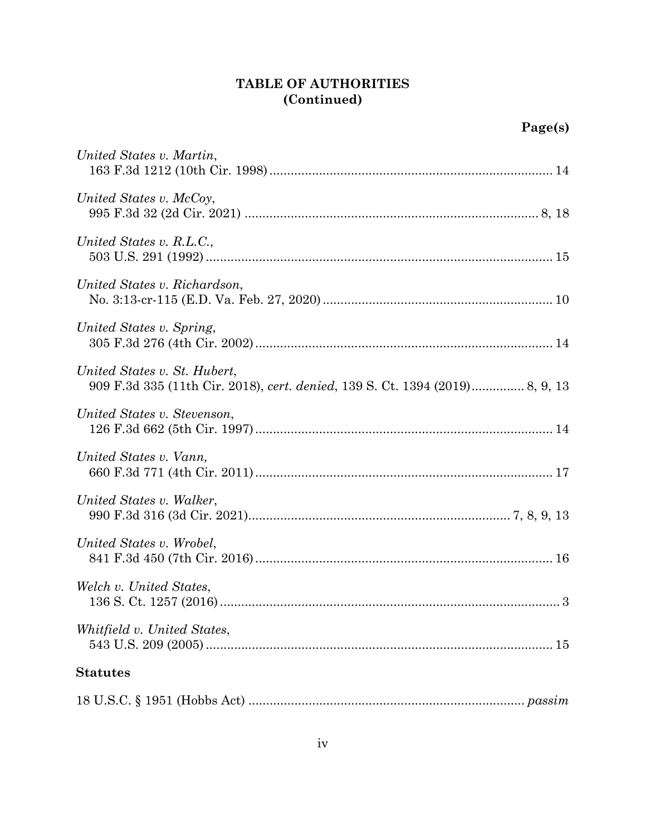### **TABLE OF AUTHORITIES (Continued)**

| United States v. Martin,     |
|------------------------------|
| United States v. McCoy,      |
| United States v. R.L.C.,     |
| United States v. Richardson, |
| United States v. Spring,     |
| United States v. St. Hubert, |
| United States v. Stevenson,  |
| United States v. Vann,       |
| United States v. Walker,     |
| United States v. Wrobel,     |
| Welch v. United States,      |
| Whitfield v. United States,  |
| <b>Statutes</b>              |
|                              |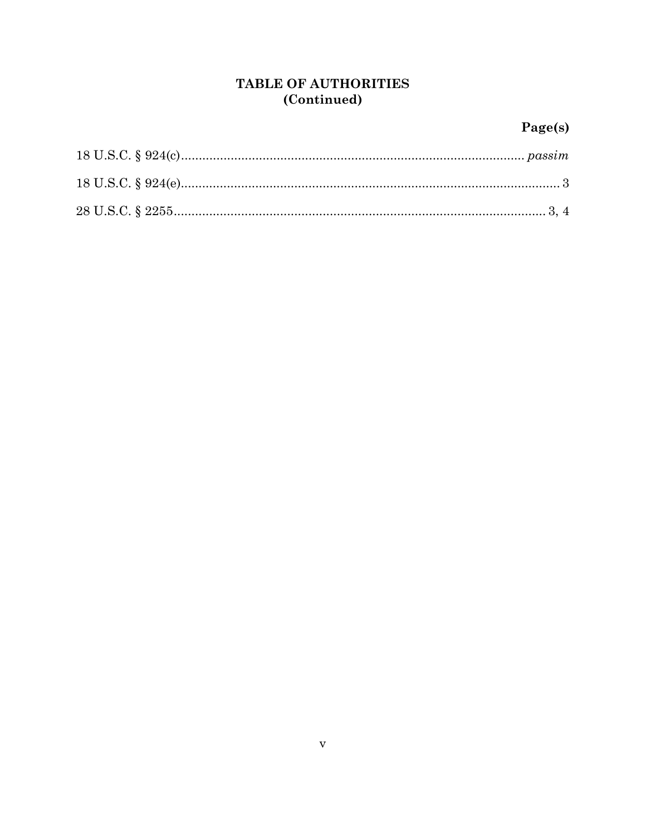### TABLE OF AUTHORITIES (Continued)

# $Page(s)$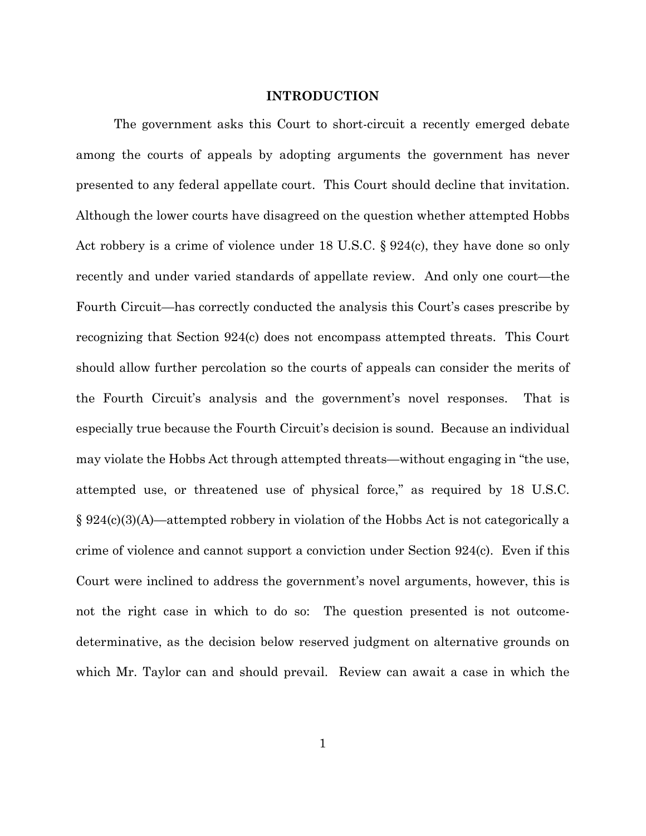#### **INTRODUCTION**

The government asks this Court to short-circuit a recently emerged debate among the courts of appeals by adopting arguments the government has never presented to any federal appellate court. This Court should decline that invitation. Although the lower courts have disagreed on the question whether attempted Hobbs Act robbery is a crime of violence under 18 U.S.C. § 924(c), they have done so only recently and under varied standards of appellate review. And only one court—the Fourth Circuit—has correctly conducted the analysis this Court's cases prescribe by recognizing that Section 924(c) does not encompass attempted threats. This Court should allow further percolation so the courts of appeals can consider the merits of the Fourth Circuit's analysis and the government's novel responses. That is especially true because the Fourth Circuit's decision is sound. Because an individual may violate the Hobbs Act through attempted threats—without engaging in "the use, attempted use, or threatened use of physical force," as required by 18 U.S.C. § 924(c)(3)(A)—attempted robbery in violation of the Hobbs Act is not categorically a crime of violence and cannot support a conviction under Section 924(c). Even if this Court were inclined to address the government's novel arguments, however, this is not the right case in which to do so: The question presented is not outcomedeterminative, as the decision below reserved judgment on alternative grounds on which Mr. Taylor can and should prevail. Review can await a case in which the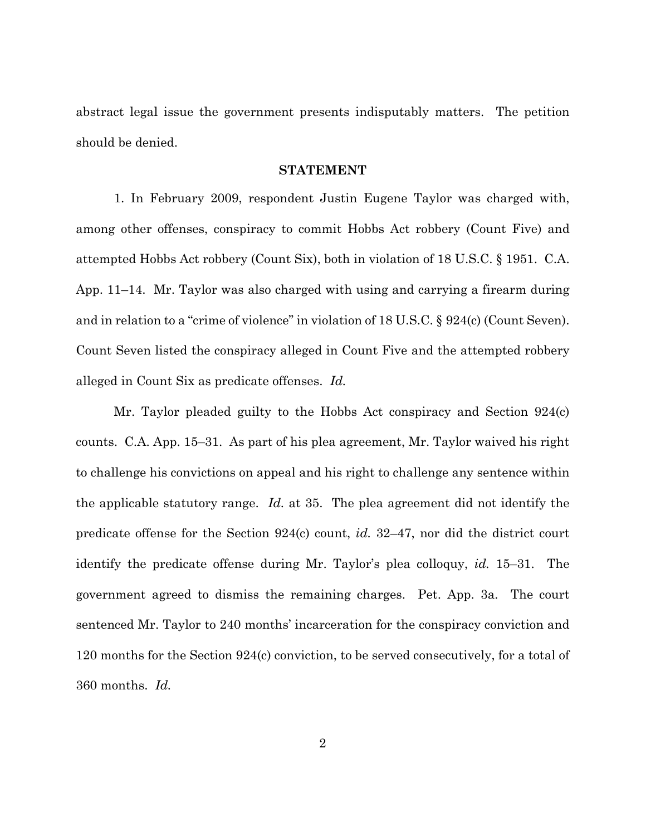abstract legal issue the government presents indisputably matters. The petition should be denied.

#### **STATEMENT**

1. In February 2009, respondent Justin Eugene Taylor was charged with, among other offenses, conspiracy to commit Hobbs Act robbery (Count Five) and attempted Hobbs Act robbery (Count Six), both in violation of 18 U.S.C. § 1951. C.A. App. 11–14. Mr. Taylor was also charged with using and carrying a firearm during and in relation to a "crime of violence" in violation of 18 U.S.C. § 924(c) (Count Seven). Count Seven listed the conspiracy alleged in Count Five and the attempted robbery alleged in Count Six as predicate offenses. *Id.* 

Mr. Taylor pleaded guilty to the Hobbs Act conspiracy and Section 924(c) counts. C.A. App. 15–31. As part of his plea agreement, Mr. Taylor waived his right to challenge his convictions on appeal and his right to challenge any sentence within the applicable statutory range. *Id.* at 35. The plea agreement did not identify the predicate offense for the Section 924(c) count, *id.* 32–47, nor did the district court identify the predicate offense during Mr. Taylor's plea colloquy, *id.* 15–31. The government agreed to dismiss the remaining charges. Pet. App. 3a. The court sentenced Mr. Taylor to 240 months' incarceration for the conspiracy conviction and 120 months for the Section 924(c) conviction, to be served consecutively, for a total of 360 months. *Id.*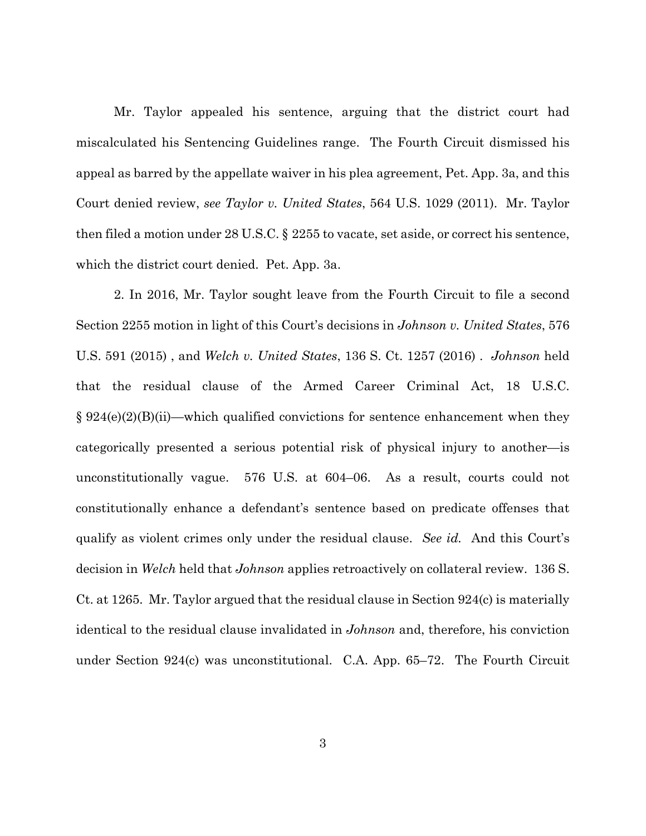Mr. Taylor appealed his sentence, arguing that the district court had miscalculated his Sentencing Guidelines range. The Fourth Circuit dismissed his appeal as barred by the appellate waiver in his plea agreement, Pet. App. 3a, and this Court denied review, *see Taylor v. United States*, 564 U.S. 1029 (2011). Mr. Taylor then filed a motion under 28 U.S.C. § 2255 to vacate, set aside, or correct his sentence, which the district court denied. Pet. App. 3a.

2. In 2016, Mr. Taylor sought leave from the Fourth Circuit to file a second Section 2255 motion in light of this Court's decisions in *Johnson v. United States*, 576 U.S. 591 (2015) , and *Welch v. United States*, 136 S. Ct. 1257 (2016) . *Johnson* held that the residual clause of the Armed Career Criminal Act, 18 U.S.C.  $\S 924(e)(2)(B)(ii)$ —which qualified convictions for sentence enhancement when they categorically presented a serious potential risk of physical injury to another—is unconstitutionally vague. 576 U.S. at 604–06. As a result, courts could not constitutionally enhance a defendant's sentence based on predicate offenses that qualify as violent crimes only under the residual clause. *See id.* And this Court's decision in *Welch* held that *Johnson* applies retroactively on collateral review. 136 S. Ct. at 1265. Mr. Taylor argued that the residual clause in Section 924(c) is materially identical to the residual clause invalidated in *Johnson* and, therefore, his conviction under Section 924(c) was unconstitutional. C.A. App. 65–72. The Fourth Circuit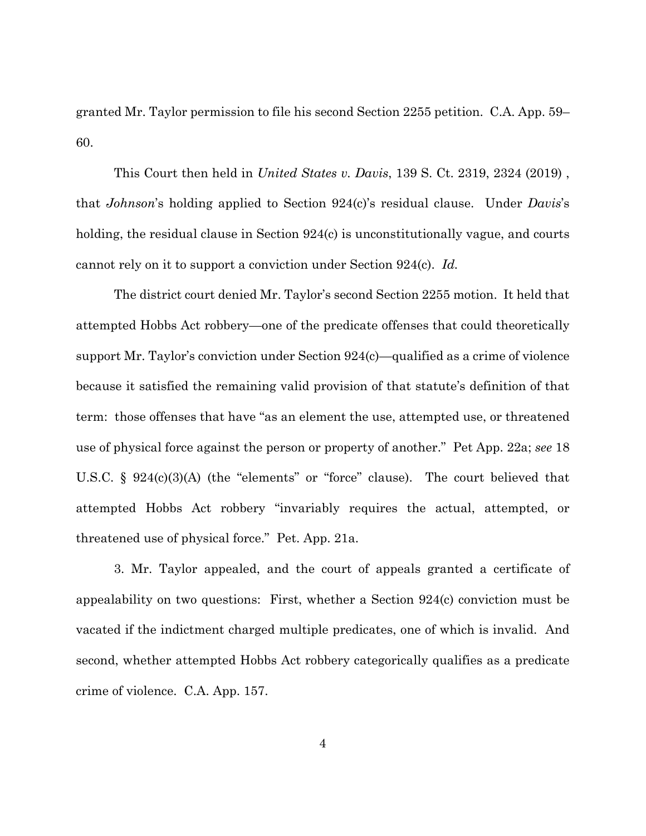granted Mr. Taylor permission to file his second Section 2255 petition. C.A. App. 59– 60.

This Court then held in *United States v. Davis*, 139 S. Ct. 2319, 2324 (2019) , that *Johnson*'s holding applied to Section 924(c)'s residual clause. Under *Davis*'s holding, the residual clause in Section 924(c) is unconstitutionally vague, and courts cannot rely on it to support a conviction under Section 924(c). *Id.*

The district court denied Mr. Taylor's second Section 2255 motion. It held that attempted Hobbs Act robbery—one of the predicate offenses that could theoretically support Mr. Taylor's conviction under Section 924(c)—qualified as a crime of violence because it satisfied the remaining valid provision of that statute's definition of that term: those offenses that have "as an element the use, attempted use, or threatened use of physical force against the person or property of another." Pet App. 22a; *see* 18 U.S.C. § 924(c)(3)(A) (the "elements" or "force" clause). The court believed that attempted Hobbs Act robbery "invariably requires the actual, attempted, or threatened use of physical force." Pet. App. 21a.

3. Mr. Taylor appealed, and the court of appeals granted a certificate of appealability on two questions: First, whether a Section 924(c) conviction must be vacated if the indictment charged multiple predicates, one of which is invalid. And second, whether attempted Hobbs Act robbery categorically qualifies as a predicate crime of violence. C.A. App. 157.

4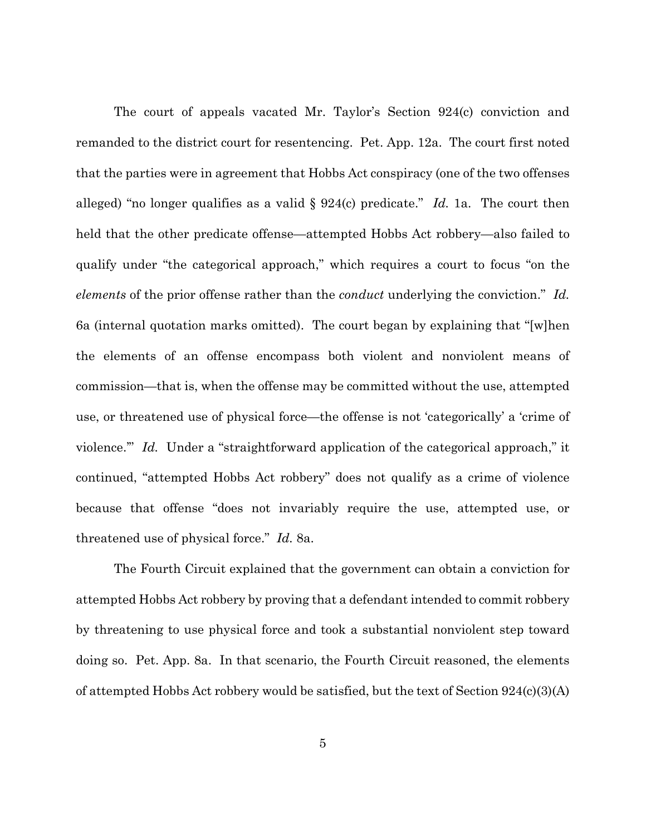The court of appeals vacated Mr. Taylor's Section 924(c) conviction and remanded to the district court for resentencing. Pet. App. 12a. The court first noted that the parties were in agreement that Hobbs Act conspiracy (one of the two offenses alleged) "no longer qualifies as a valid § 924(c) predicate." *Id.* 1a. The court then held that the other predicate offense—attempted Hobbs Act robbery—also failed to qualify under "the categorical approach," which requires a court to focus "on the *elements* of the prior offense rather than the *conduct* underlying the conviction." *Id.*  6a (internal quotation marks omitted). The court began by explaining that "[w]hen the elements of an offense encompass both violent and nonviolent means of commission—that is, when the offense may be committed without the use, attempted use, or threatened use of physical force—the offense is not 'categorically' a 'crime of violence." *Id.* Under a "straightforward application of the categorical approach," it continued, "attempted Hobbs Act robbery" does not qualify as a crime of violence because that offense "does not invariably require the use, attempted use, or threatened use of physical force." *Id.* 8a.

The Fourth Circuit explained that the government can obtain a conviction for attempted Hobbs Act robbery by proving that a defendant intended to commit robbery by threatening to use physical force and took a substantial nonviolent step toward doing so. Pet. App. 8a. In that scenario, the Fourth Circuit reasoned, the elements of attempted Hobbs Act robbery would be satisfied, but the text of Section  $924(c)(3)(A)$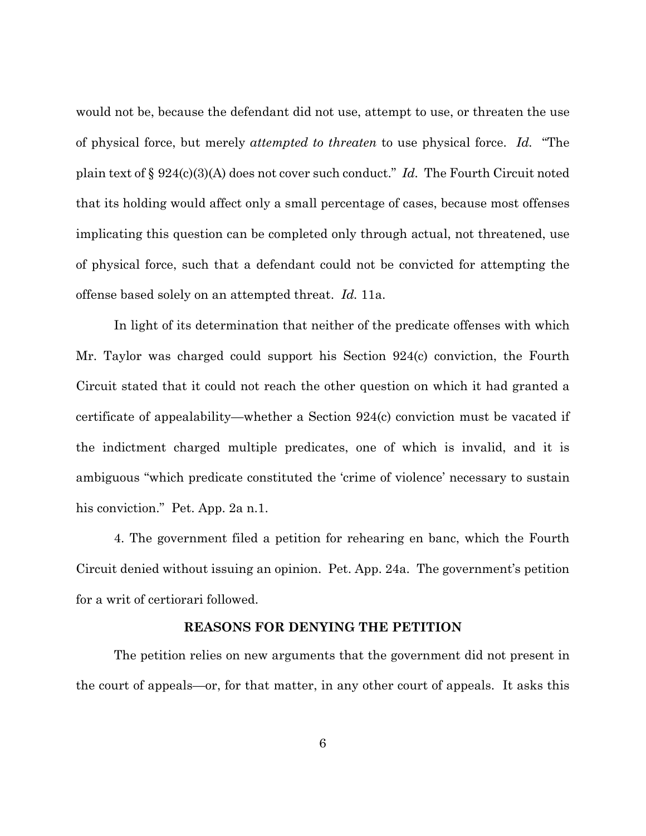would not be, because the defendant did not use, attempt to use, or threaten the use of physical force, but merely *attempted to threaten* to use physical force. *Id.* "The plain text of § 924(c)(3)(A) does not cover such conduct." *Id.* The Fourth Circuit noted that its holding would affect only a small percentage of cases, because most offenses implicating this question can be completed only through actual, not threatened, use of physical force, such that a defendant could not be convicted for attempting the offense based solely on an attempted threat. *Id.* 11a.

In light of its determination that neither of the predicate offenses with which Mr. Taylor was charged could support his Section 924(c) conviction, the Fourth Circuit stated that it could not reach the other question on which it had granted a certificate of appealability—whether a Section 924(c) conviction must be vacated if the indictment charged multiple predicates, one of which is invalid, and it is ambiguous "which predicate constituted the 'crime of violence' necessary to sustain his conviction." Pet. App. 2a n.1.

4. The government filed a petition for rehearing en banc, which the Fourth Circuit denied without issuing an opinion. Pet. App. 24a. The government's petition for a writ of certiorari followed.

#### **REASONS FOR DENYING THE PETITION**

The petition relies on new arguments that the government did not present in the court of appeals—or, for that matter, in any other court of appeals. It asks this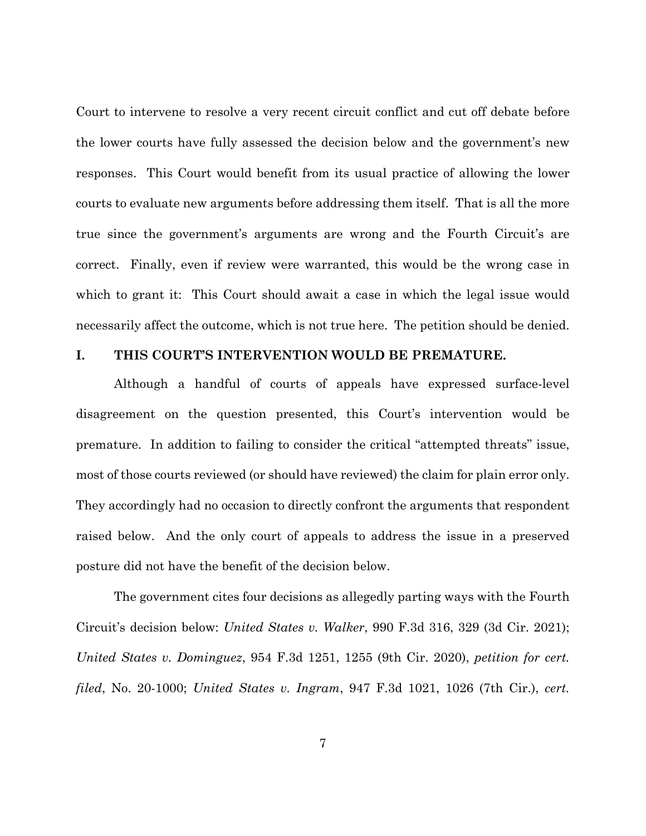Court to intervene to resolve a very recent circuit conflict and cut off debate before the lower courts have fully assessed the decision below and the government's new responses. This Court would benefit from its usual practice of allowing the lower courts to evaluate new arguments before addressing them itself. That is all the more true since the government's arguments are wrong and the Fourth Circuit's are correct. Finally, even if review were warranted, this would be the wrong case in which to grant it: This Court should await a case in which the legal issue would necessarily affect the outcome, which is not true here. The petition should be denied.

#### **I. THIS COURT'S INTERVENTION WOULD BE PREMATURE.**

Although a handful of courts of appeals have expressed surface-level disagreement on the question presented, this Court's intervention would be premature. In addition to failing to consider the critical "attempted threats" issue, most of those courts reviewed (or should have reviewed) the claim for plain error only. They accordingly had no occasion to directly confront the arguments that respondent raised below. And the only court of appeals to address the issue in a preserved posture did not have the benefit of the decision below.

The government cites four decisions as allegedly parting ways with the Fourth Circuit's decision below: *United States v. Walker*, 990 F.3d 316, 329 (3d Cir. 2021); *United States v. Dominguez*, 954 F.3d 1251, 1255 (9th Cir. 2020), *petition for cert. filed*, No. 20-1000; *United States v. Ingram*, 947 F.3d 1021, 1026 (7th Cir.), *cert.*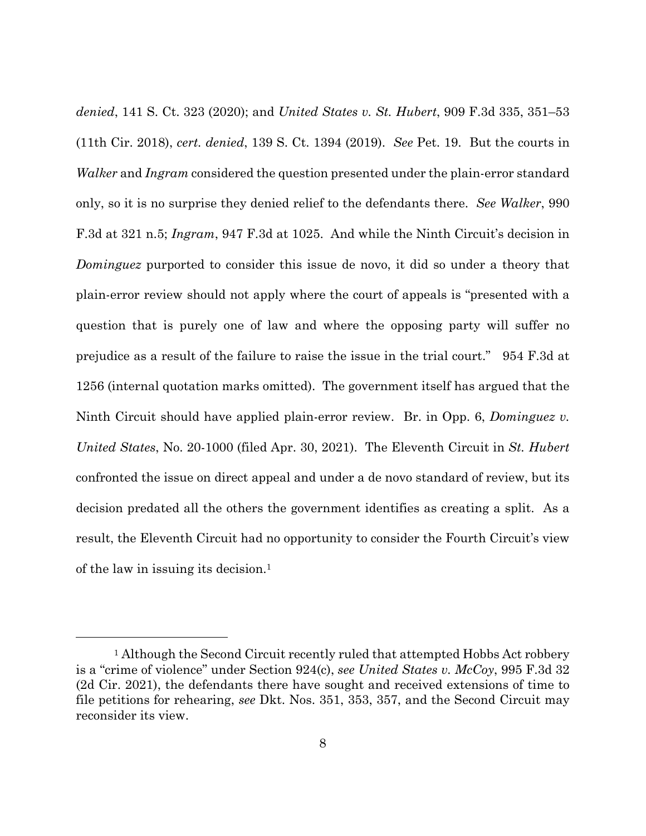*denied*, 141 S. Ct. 323 (2020); and *United States v. St. Hubert*, 909 F.3d 335, 351–53 (11th Cir. 2018), *cert. denied*, 139 S. Ct. 1394 (2019). *See* Pet. 19. But the courts in *Walker* and *Ingram* considered the question presented under the plain-error standard only, so it is no surprise they denied relief to the defendants there. *See Walker*, 990 F.3d at 321 n.5; *Ingram*, 947 F.3d at 1025. And while the Ninth Circuit's decision in *Dominguez* purported to consider this issue de novo, it did so under a theory that plain-error review should not apply where the court of appeals is "presented with a question that is purely one of law and where the opposing party will suffer no prejudice as a result of the failure to raise the issue in the trial court." 954 F.3d at 1256 (internal quotation marks omitted).The government itself has argued that the Ninth Circuit should have applied plain-error review. Br. in Opp. 6, *Dominguez v. United States*, No. 20-1000 (filed Apr. 30, 2021). The Eleventh Circuit in *St. Hubert*  confronted the issue on direct appeal and under a de novo standard of review, but its decision predated all the others the government identifies as creating a split. As a result, the Eleventh Circuit had no opportunity to consider the Fourth Circuit's view of the law in issuing its decision.1

<sup>&</sup>lt;sup>1</sup> Although the Second Circuit recently ruled that attempted Hobbs Act robbery is a "crime of violence" under Section 924(c), *see United States v. McCoy*, 995 F.3d 32 (2d Cir. 2021), the defendants there have sought and received extensions of time to file petitions for rehearing, *see* Dkt. Nos. 351, 353, 357, and the Second Circuit may reconsider its view.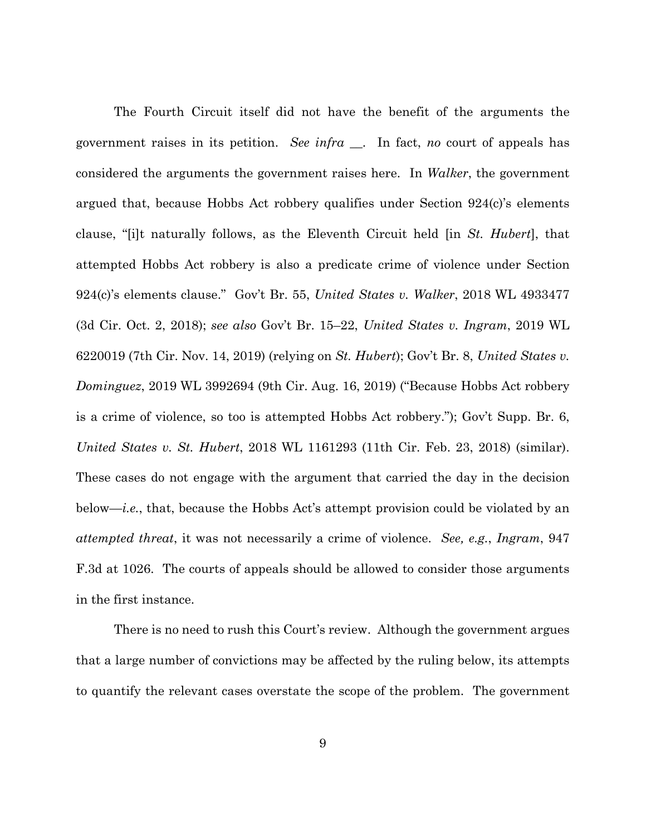The Fourth Circuit itself did not have the benefit of the arguments the government raises in its petition. *See infra* \_\_. In fact, *no* court of appeals has considered the arguments the government raises here. In *Walker*, the government argued that, because Hobbs Act robbery qualifies under Section 924(c)'s elements clause, "[i]t naturally follows, as the Eleventh Circuit held [in *St. Hubert*], that attempted Hobbs Act robbery is also a predicate crime of violence under Section 924(c)'s elements clause." Gov't Br. 55, *United States v. Walker*, 2018 WL 4933477 (3d Cir. Oct. 2, 2018); *see also* Gov't Br. 15–22, *United States v. Ingram*, 2019 WL 6220019 (7th Cir. Nov. 14, 2019) (relying on *St. Hubert*); Gov't Br. 8, *United States v. Dominguez*, 2019 WL 3992694 (9th Cir. Aug. 16, 2019) ("Because Hobbs Act robbery is a crime of violence, so too is attempted Hobbs Act robbery."); Gov't Supp. Br. 6, *United States v. St. Hubert*, 2018 WL 1161293 (11th Cir. Feb. 23, 2018) (similar). These cases do not engage with the argument that carried the day in the decision below—*i.e.*, that, because the Hobbs Act's attempt provision could be violated by an *attempted threat*, it was not necessarily a crime of violence. *See, e.g.*, *Ingram*, 947 F.3d at 1026. The courts of appeals should be allowed to consider those arguments in the first instance.

There is no need to rush this Court's review. Although the government argues that a large number of convictions may be affected by the ruling below, its attempts to quantify the relevant cases overstate the scope of the problem. The government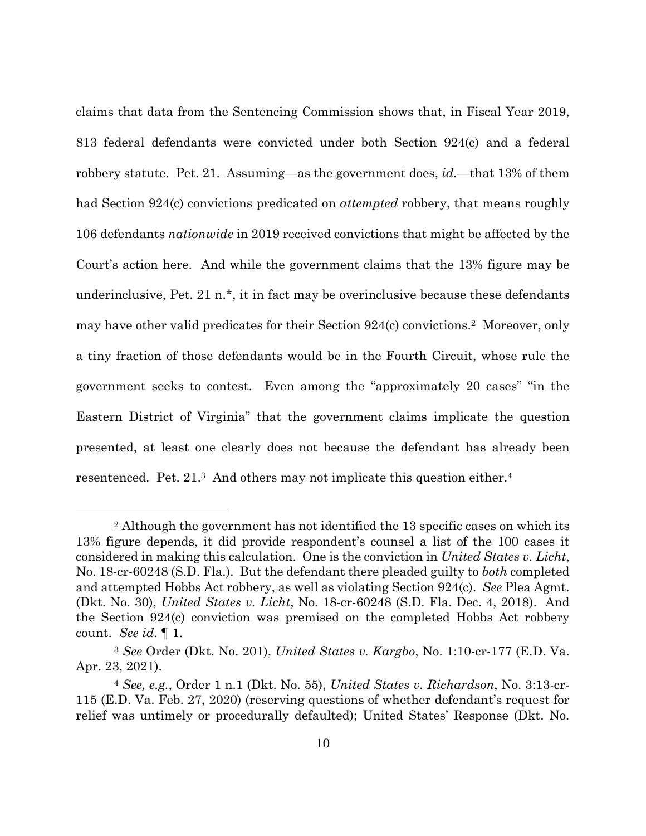claims that data from the Sentencing Commission shows that, in Fiscal Year 2019, 813 federal defendants were convicted under both Section 924(c) and a federal robbery statute. Pet. 21. Assuming—as the government does, *id.*—that 13% of them had Section 924(c) convictions predicated on *attempted* robbery, that means roughly 106 defendants *nationwide* in 2019 received convictions that might be affected by the Court's action here. And while the government claims that the 13% figure may be underinclusive, Pet. 21 n.\*, it in fact may be overinclusive because these defendants may have other valid predicates for their Section 924(c) convictions.2 Moreover, only a tiny fraction of those defendants would be in the Fourth Circuit, whose rule the government seeks to contest. Even among the "approximately 20 cases" "in the Eastern District of Virginia" that the government claims implicate the question presented, at least one clearly does not because the defendant has already been resentenced. Pet. 21.<sup>3</sup> And others may not implicate this question either.<sup>4</sup>

<sup>2</sup> Although the government has not identified the 13 specific cases on which its 13% figure depends, it did provide respondent's counsel a list of the 100 cases it considered in making this calculation. One is the conviction in *United States v. Licht*, No. 18-cr-60248 (S.D. Fla.). But the defendant there pleaded guilty to *both* completed and attempted Hobbs Act robbery, as well as violating Section 924(c). *See* Plea Agmt. (Dkt. No. 30), *United States v. Licht*, No. 18-cr-60248 (S.D. Fla. Dec. 4, 2018). And the Section 924(c) conviction was premised on the completed Hobbs Act robbery count. *See id.* ¶ 1.

<sup>3</sup> *See* Order (Dkt. No. 201), *United States v. Kargbo*, No. 1:10-cr-177 (E.D. Va. Apr. 23, 2021).

<sup>4</sup> *See, e.g.*, Order 1 n.1 (Dkt. No. 55), *United States v. Richardson*, No. 3:13-cr-115 (E.D. Va. Feb. 27, 2020) (reserving questions of whether defendant's request for relief was untimely or procedurally defaulted); United States' Response (Dkt. No.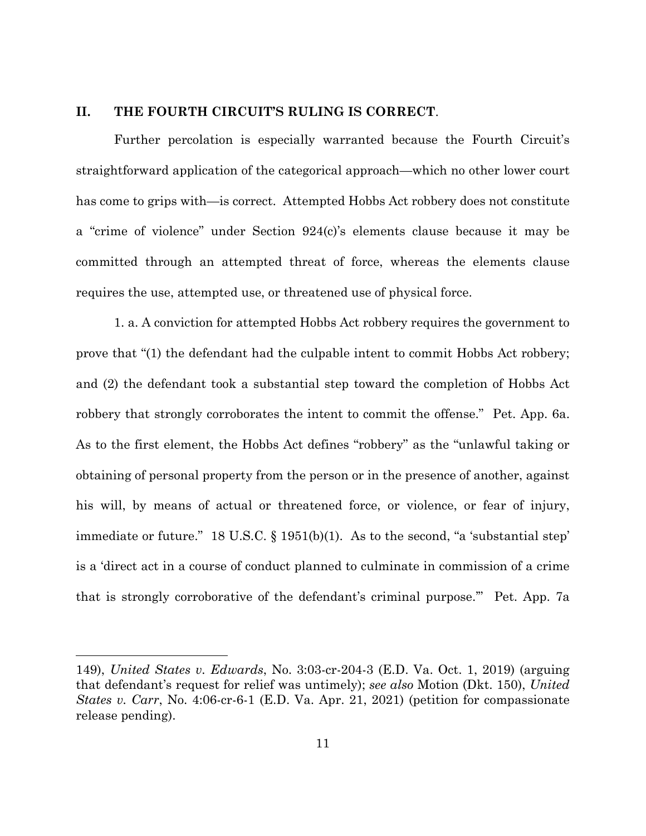#### **II. THE FOURTH CIRCUIT'S RULING IS CORRECT**.

Further percolation is especially warranted because the Fourth Circuit's straightforward application of the categorical approach—which no other lower court has come to grips with—is correct. Attempted Hobbs Act robbery does not constitute a "crime of violence" under Section 924(c)'s elements clause because it may be committed through an attempted threat of force, whereas the elements clause requires the use, attempted use, or threatened use of physical force.

1. a. A conviction for attempted Hobbs Act robbery requires the government to prove that "(1) the defendant had the culpable intent to commit Hobbs Act robbery; and (2) the defendant took a substantial step toward the completion of Hobbs Act robbery that strongly corroborates the intent to commit the offense." Pet. App. 6a. As to the first element, the Hobbs Act defines "robbery" as the "unlawful taking or obtaining of personal property from the person or in the presence of another, against his will, by means of actual or threatened force, or violence, or fear of injury, immediate or future." 18 U.S.C. § 1951(b)(1). As to the second, "a 'substantial step' is a 'direct act in a course of conduct planned to culminate in commission of a crime that is strongly corroborative of the defendant's criminal purpose.'" Pet. App. 7a

<sup>149),</sup> *United States v. Edwards*, No. 3:03-cr-204-3 (E.D. Va. Oct. 1, 2019) (arguing that defendant's request for relief was untimely); *see also* Motion (Dkt. 150), *United States v. Carr*, No. 4:06-cr-6-1 (E.D. Va. Apr. 21, 2021) (petition for compassionate release pending).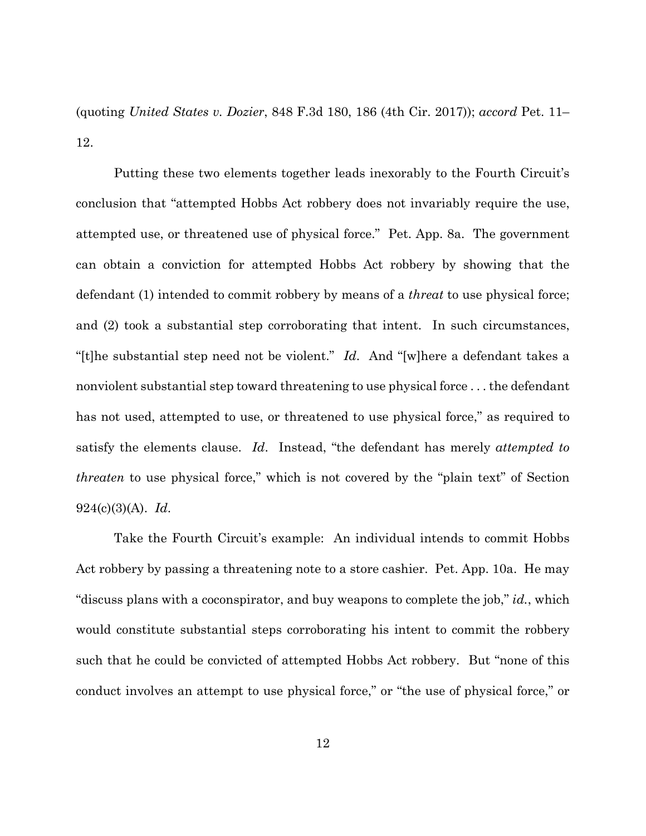(quoting *United States v. Dozier*, 848 F.3d 180, 186 (4th Cir. 2017)); *accord* Pet. 11– 12.

Putting these two elements together leads inexorably to the Fourth Circuit's conclusion that "attempted Hobbs Act robbery does not invariably require the use, attempted use, or threatened use of physical force." Pet. App. 8a. The government can obtain a conviction for attempted Hobbs Act robbery by showing that the defendant (1) intended to commit robbery by means of a *threat* to use physical force; and (2) took a substantial step corroborating that intent. In such circumstances, "[t]he substantial step need not be violent." *Id*. And "[w]here a defendant takes a nonviolent substantial step toward threatening to use physical force . . . the defendant has not used, attempted to use, or threatened to use physical force," as required to satisfy the elements clause. *Id*. Instead, "the defendant has merely *attempted to threaten* to use physical force," which is not covered by the "plain text" of Section 924(c)(3)(A). *Id*.

Take the Fourth Circuit's example: An individual intends to commit Hobbs Act robbery by passing a threatening note to a store cashier. Pet. App. 10a. He may "discuss plans with a coconspirator, and buy weapons to complete the job," *id.*, which would constitute substantial steps corroborating his intent to commit the robbery such that he could be convicted of attempted Hobbs Act robbery. But "none of this conduct involves an attempt to use physical force," or "the use of physical force," or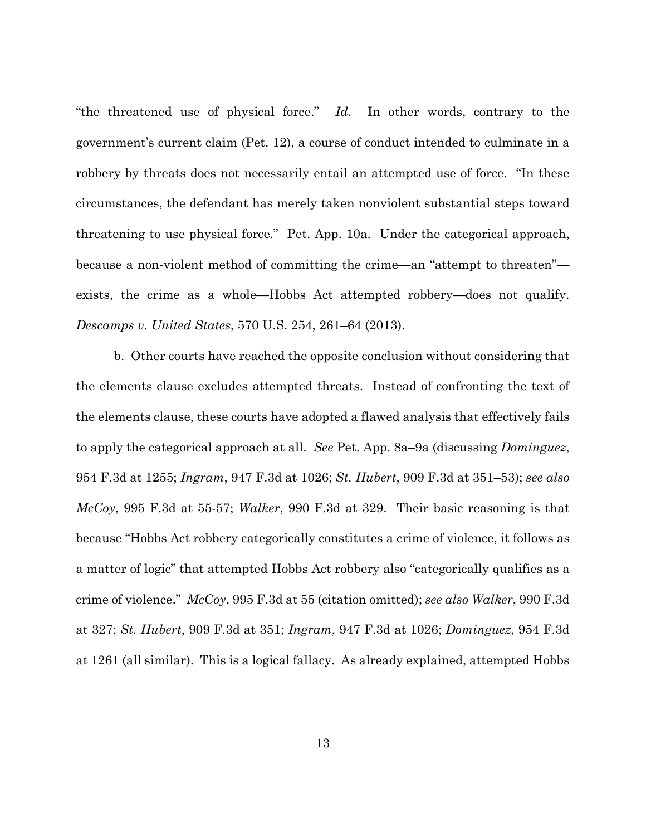"the threatened use of physical force." *Id*. In other words, contrary to the government's current claim (Pet. 12), a course of conduct intended to culminate in a robbery by threats does not necessarily entail an attempted use of force. "In these circumstances, the defendant has merely taken nonviolent substantial steps toward threatening to use physical force." Pet. App. 10a. Under the categorical approach, because a non-violent method of committing the crime—an "attempt to threaten" exists, the crime as a whole—Hobbs Act attempted robbery—does not qualify. *Descamps v. United States*, 570 U.S. 254, 261–64 (2013).

b. Other courts have reached the opposite conclusion without considering that the elements clause excludes attempted threats. Instead of confronting the text of the elements clause, these courts have adopted a flawed analysis that effectively fails to apply the categorical approach at all. *See* Pet. App. 8a–9a (discussing *Dominguez*, 954 F.3d at 1255; *Ingram*, 947 F.3d at 1026; *St. Hubert*, 909 F.3d at 351–53); *see also McCoy*, 995 F.3d at 55-57; *Walker*, 990 F.3d at 329. Their basic reasoning is that because "Hobbs Act robbery categorically constitutes a crime of violence, it follows as a matter of logic" that attempted Hobbs Act robbery also "categorically qualifies as a crime of violence." *McCoy*, 995 F.3d at 55 (citation omitted); *see also Walker*, 990 F.3d at 327; *St. Hubert*, 909 F.3d at 351; *Ingram*, 947 F.3d at 1026; *Dominguez*, 954 F.3d at 1261 (all similar). This is a logical fallacy. As already explained, attempted Hobbs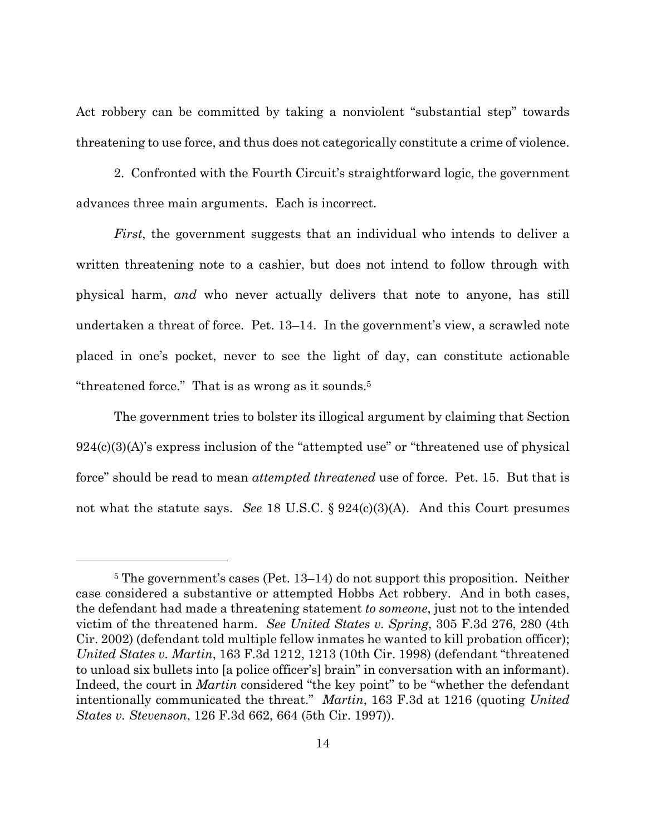Act robbery can be committed by taking a nonviolent "substantial step" towards threatening to use force, and thus does not categorically constitute a crime of violence.

2. Confronted with the Fourth Circuit's straightforward logic, the government advances three main arguments. Each is incorrect.

*First*, the government suggests that an individual who intends to deliver a written threatening note to a cashier, but does not intend to follow through with physical harm, *and* who never actually delivers that note to anyone, has still undertaken a threat of force. Pet. 13–14. In the government's view, a scrawled note placed in one's pocket, never to see the light of day, can constitute actionable "threatened force." That is as wrong as it sounds.5

The government tries to bolster its illogical argument by claiming that Section  $924(c)(3)(A)$ 's express inclusion of the "attempted use" or "threatened use of physical force" should be read to mean *attempted threatened* use of force. Pet. 15. But that is not what the statute says. *See* 18 U.S.C. § 924(c)(3)(A). And this Court presumes

<sup>5</sup> The government's cases (Pet. 13–14) do not support this proposition. Neither case considered a substantive or attempted Hobbs Act robbery. And in both cases, the defendant had made a threatening statement *to someone*, just not to the intended victim of the threatened harm. *See United States v. Spring*, 305 F.3d 276, 280 (4th Cir. 2002) (defendant told multiple fellow inmates he wanted to kill probation officer); *United States v. Martin*, 163 F.3d 1212, 1213 (10th Cir. 1998) (defendant "threatened to unload six bullets into [a police officer's] brain" in conversation with an informant). Indeed, the court in *Martin* considered "the key point" to be "whether the defendant intentionally communicated the threat." *Martin*, 163 F.3d at 1216 (quoting *United States v. Stevenson*, 126 F.3d 662, 664 (5th Cir. 1997)).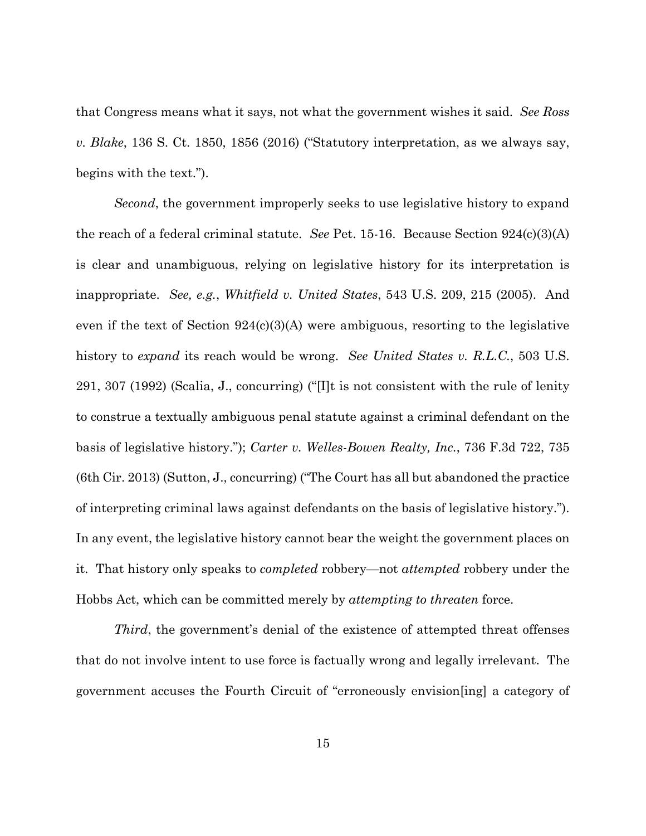that Congress means what it says, not what the government wishes it said. *See Ross v. Blake*, 136 S. Ct. 1850, 1856 (2016) ("Statutory interpretation, as we always say, begins with the text.").

*Second*, the government improperly seeks to use legislative history to expand the reach of a federal criminal statute. *See* Pet. 15-16. Because Section 924(c)(3)(A) is clear and unambiguous, relying on legislative history for its interpretation is inappropriate. *See, e.g.*, *Whitfield v. United States*, 543 U.S. 209, 215 (2005). And even if the text of Section 924(c)(3)(A) were ambiguous, resorting to the legislative history to *expand* its reach would be wrong. *See United States v. R.L.C.*, 503 U.S. 291, 307 (1992) (Scalia, J., concurring) ("[I]t is not consistent with the rule of lenity to construe a textually ambiguous penal statute against a criminal defendant on the basis of legislative history."); *Carter v. Welles-Bowen Realty, Inc.*, 736 F.3d 722, 735 (6th Cir. 2013) (Sutton, J., concurring) ("The Court has all but abandoned the practice of interpreting criminal laws against defendants on the basis of legislative history."). In any event, the legislative history cannot bear the weight the government places on it. That history only speaks to *completed* robbery—not *attempted* robbery under the Hobbs Act, which can be committed merely by *attempting to threaten* force.

*Third*, the government's denial of the existence of attempted threat offenses that do not involve intent to use force is factually wrong and legally irrelevant. The government accuses the Fourth Circuit of "erroneously envision[ing] a category of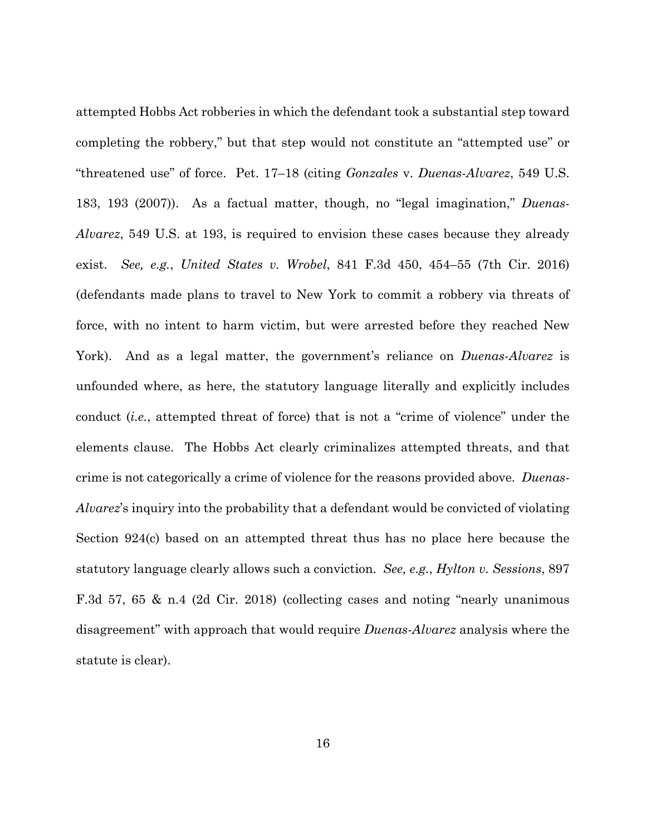attempted Hobbs Act robberies in which the defendant took a substantial step toward completing the robbery," but that step would not constitute an "attempted use" or "threatened use" of force. Pet. 17–18 (citing *Gonzales* v. *Duenas-Alvarez*, 549 U.S. 183, 193 (2007)). As a factual matter, though, no "legal imagination," *Duenas-Alvarez*, 549 U.S. at 193, is required to envision these cases because they already exist. *See, e.g.*, *United States v. Wrobel*, 841 F.3d 450, 454–55 (7th Cir. 2016) (defendants made plans to travel to New York to commit a robbery via threats of force, with no intent to harm victim, but were arrested before they reached New York). And as a legal matter, the government's reliance on *Duenas-Alvarez* is unfounded where, as here, the statutory language literally and explicitly includes conduct (*i.e.*, attempted threat of force) that is not a "crime of violence" under the elements clause. The Hobbs Act clearly criminalizes attempted threats, and that crime is not categorically a crime of violence for the reasons provided above. *Duenas-Alvarez*'s inquiry into the probability that a defendant would be convicted of violating Section 924(c) based on an attempted threat thus has no place here because the statutory language clearly allows such a conviction. *See, e.g.*, *Hylton v. Sessions*, 897 F.3d 57, 65 & n.4 (2d Cir. 2018) (collecting cases and noting "nearly unanimous disagreement" with approach that would require *Duenas-Alvarez* analysis where the statute is clear).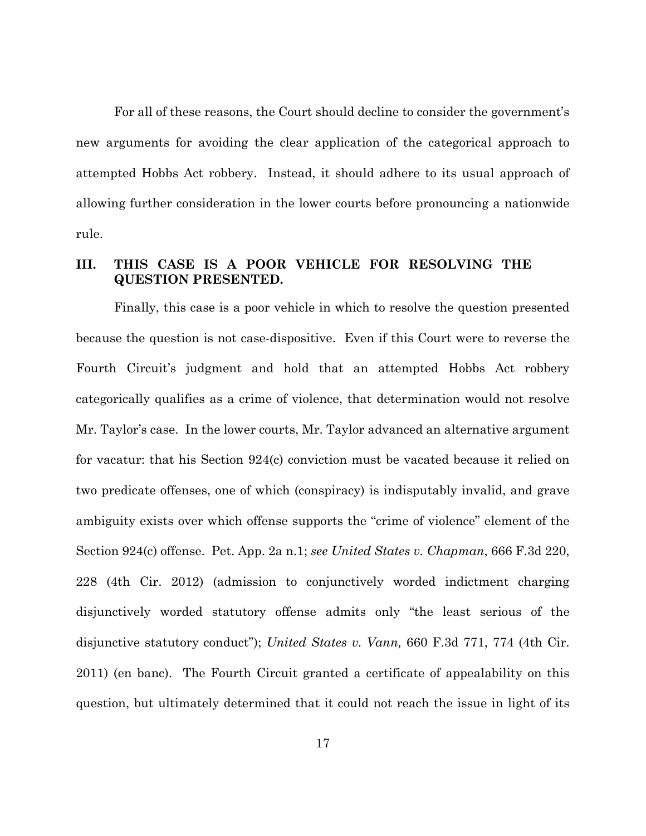For all of these reasons, the Court should decline to consider the government's new arguments for avoiding the clear application of the categorical approach to attempted Hobbs Act robbery. Instead, it should adhere to its usual approach of allowing further consideration in the lower courts before pronouncing a nationwide rule.

### **III. THIS CASE IS A POOR VEHICLE FOR RESOLVING THE QUESTION PRESENTED.**

Finally, this case is a poor vehicle in which to resolve the question presented because the question is not case-dispositive. Even if this Court were to reverse the Fourth Circuit's judgment and hold that an attempted Hobbs Act robbery categorically qualifies as a crime of violence, that determination would not resolve Mr. Taylor's case. In the lower courts, Mr. Taylor advanced an alternative argument for vacatur: that his Section 924(c) conviction must be vacated because it relied on two predicate offenses, one of which (conspiracy) is indisputably invalid, and grave ambiguity exists over which offense supports the "crime of violence" element of the Section 924(c) offense. Pet. App. 2a n.1; *see United States v. Chapman*, 666 F.3d 220, 228 (4th Cir. 2012) (admission to conjunctively worded indictment charging disjunctively worded statutory offense admits only "the least serious of the disjunctive statutory conduct"); *United States v. Vann,* 660 F.3d 771, 774 (4th Cir. 2011) (en banc). The Fourth Circuit granted a certificate of appealability on this question, but ultimately determined that it could not reach the issue in light of its